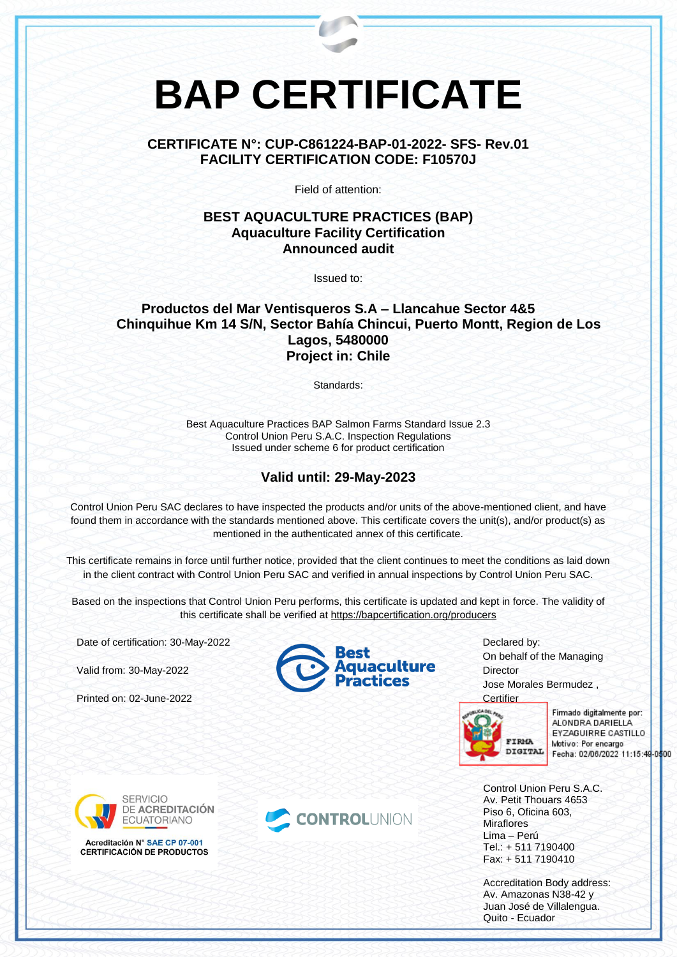# **BAP CERTIFICATE**

## **CERTIFICATE N°: CUP-C861224-BAP-01-2022- SFS- Rev.01 FACILITY CERTIFICATION CODE: F10570J**

Field of attention:

#### **BEST AQUACULTURE PRACTICES (BAP) Aquaculture Facility Certification Announced audit**

Issued to:

#### **Productos del Mar Ventisqueros S.A – Llancahue Sector 4&5 Chinquihue Km 14 S/N, Sector Bahía Chincui, Puerto Montt, Region de Los Lagos, 5480000 Project in: Chile**

Standards:

Best Aquaculture Practices BAP Salmon Farms Standard Issue 2.3 Control Union Peru S.A.C. Inspection Regulations Issued under scheme 6 for product certification

## **Valid until: 29-May-2023**

Control Union Peru SAC declares to have inspected the products and/or units of the above-mentioned client, and have found them in accordance with the standards mentioned above. This certificate covers the unit(s), and/or product(s) as mentioned in the authenticated annex of this certificate.

This certificate remains in force until further notice, provided that the client continues to meet the conditions as laid down in the client contract with Control Union Peru SAC and verified in annual inspections by Control Union Peru SAC.

Based on the inspections that Control Union Peru performs, this certificate is updated and kept in force. The validity of this certificate shall be verified at <https://bapcertification.org/producers>

CONTROLUNION

Date of certification: 30-May-2022

Valid from: 30-May-2022

Printed on: 02-June-2022





Declared by: On behalf of the Managing **Director** Jose Morales Bermudez ,



Firmado digitalmente por: ALONDRA DARIELLA EYZAGUIRRE CASTILLO Motivo: Por encargo Fecha: 02/06/2022 11:15:49-0500

Control Union Peru S.A.C. Av. Petit Thouars 4653 Piso 6, Oficina 603, **Miraflores** Lima – Perú Tel.: + 511 7190400 Fax: + 511 7190410

Accreditation Body address: Av. Amazonas N38-42 y Juan José de Villalengua. Quito - Ecuador